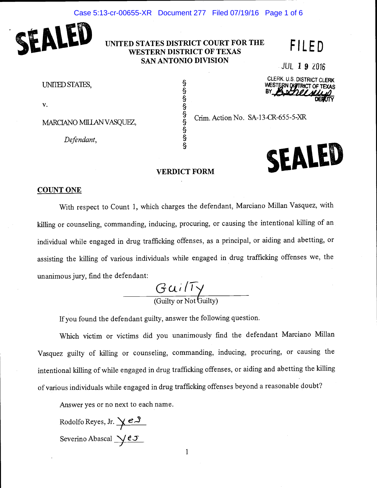

## UNITED STATES DISTRICT COURT FOR THE WESTERN DISTRICT OF TEXAS SAN ANTONIO DIVISION

# FILED

JUL 1 9 Z016

UNIIED STATES,

v.

MARCIANO MILLAN VASQUEZ,

Defendant,

§ § § § § §

§

§

CLERK. U.S. DISTRICT CLERK WESTERN DISTRICT OF T

 $\frac{9}{6}$  Crim. Action No. SA-13-CR-655-5-XR



### VERDICT FORM

#### COUNT ONE

With respect to Count 1, which charges the defendant, Marciano Millan Vasquez, with killing or counseling, commanding, inducing, procuring, or causing the intentional killing of an individual while engaged in drug trafficking offenses, as a principal, or aiding and abetting, or assisting the killing of various individuals while engaged in drug trafficking offenses we, the unanimous jury, find the defendant:

 $Gui/Ty$ (Guilty or Not Guilty)

If you found the defendant guilty, answer the following question.

Which victim or victims did you unanimously find the defendant Marciano Millan Vasquez guilty of killing or counseling, commanding, inducing, procuring, or causing the intentional killing of while engaged in drug trafficking offenses, or aiding and abetting the killing of various individuals while engaged in drug trafficking offenses beyond a reasonable doubt?

Answer yes or no next to each name.

Rodolfo Reyes, Jr.  $\searrow$   $e\rightarrow$ Severino Abascal  $\sqrt{eJ}$ 

1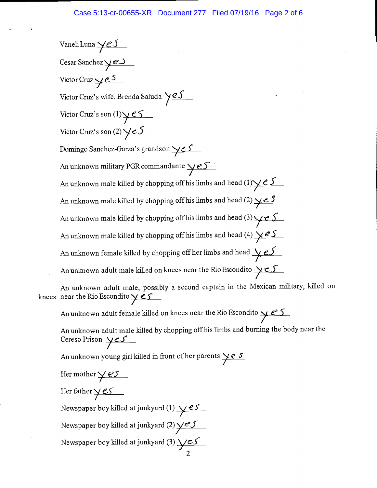Vaneli Luna  $\sqrt{eS}$ Cesar Sanchez  $\overline{\smash{\big)}\,e\!\supset\!f}$ Victor Cruz  $\swarrow e^{S}$ Victor Cruz's wife, Brenda Saluda  $\sqrt{2S}$ Victor Cruz's son  $(1)\times 5$ Victor Cruz's son  $(2)$   $\angle e5$ Domingo Sanchez-Garza's grandson  $\angle$  e S An unknown military PGR commandante  $\sqrt{eS}$ An unknown male killed by chopping off his limbs and head  $(1)\cancel{\vee} \cancel{e}$ An unknown male killed by chopping off his limbs and head (2)  $\angle \angle$  5 An unknown male killed by chopping off his limbs and head (3)  $\angle e$  S An unknown male killed by chopping off his limbs and head (4)  $\angle \angle \angle$ An unknown female killed by chopping off her limbs and head  $\sqrt{eS}$ An unknown adult male killed on knees near the Rio Escondito  $\sqrt{\epsilon}$ 

An unknown adult male, possibly a second captain in the Mexican military, killed on knees near the Rio Escondito  $y \in S$ 

An unknown adult female killed on knees near the Rio Escondito  $\sqrt{25}$ 

An unknown adult male killed by chopping off his limbs and burning the body near the Cereso Prison  $\times S$ 

2

An unknown young girl killed in front of her parents  $\underline{\smash{\big)}\,e\,\delta}$ 

Her mother  $\sqrt{eS}$ 

Her father  $y$  es

Newspaper boy killed at junkyard (1)  $\angle$  es Newspaper boy killed at junkyard (2)  $\sqrt{25}$ Newspaper boy killed at junkyard (3)  $\sqrt{cS}$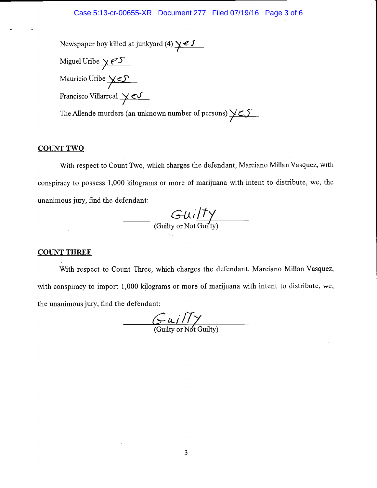#### Case 5:13-cr-00655-XR Document 277 Filed 07/19/16 Page 3 of 6

Newspaper boy killed at junkyard (4)  $\sqrt{2}$ Miguel Uribe  $y \in S$ Mauricio Uribe  $\times$   $\sim$ Francisco Villarreal  $\times$ The Allende murders (an unknown number of persons)  $\times$ 

## COUNT TWO

With respect to Count Two, which charges the defendant, Marciano Millan Vasquez, with conspiracy to possess 1,000 kilograms or more of marijuana with intent to distribute, we, the unanimous jury, find the defendant:

 $G$ uilty (Guilty or Not Guifty)

#### COUNT THREE

With respect to Count Three, which charges the defendant, Marciano Millan Vasquez, with conspiracy to import 1,000 kilograms or more of marijuana with intent to distribute, we, the unanimous jury, find the defendant:

 $\frac{C u}{T}$  (Guilty or Not Guilty)

3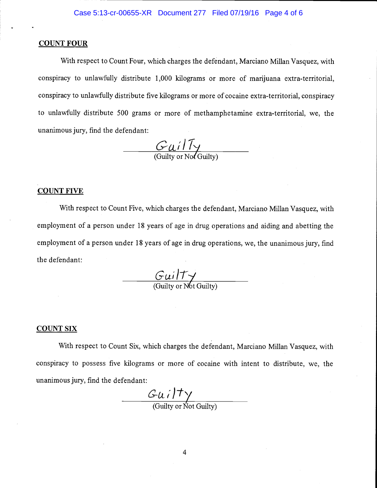#### COUNT FOUR

With respect to Count Four, which charges the defendant, Marciano Millan Vasquez, with conspiracy to unlawfully distribute 1,000 kilograms or more of marijuana extra-territorial, conspiracy to unlawfully distribute five kilograms or more of cocaine extra-territorial, conspiracy to unlawfully distribute 500 grams or more of methamphetamine extra-territorial, we, the unanimous jury, find the defendant:

 $\frac{GuilT_{\gamma}}{gilT_{\gamma}}$ (Guilty or Not Guilty)

#### COUNT FIVE

With respect to Count Five, which charges the defendant, Marciano Millan Vasquez, with employment of a person under 18 years of age in drug operations and aiding and abetting the employment of a person under 18 years of age in drug operations, we, the unanimous jury, find the defendant:

 $GuilT \gamma$ (Guilty or N6t Guilty)

#### COUNT SIX

With respect to Count Six, which charges the defendant, Marciano Millan Vasquez, with conspiracy to possess five kilograms or more of cocaine with intent to distribute, we, the unanimous jury, find the defendant:

 $\frac{G(u i) \rightarrow G(u i)}{(Gui}$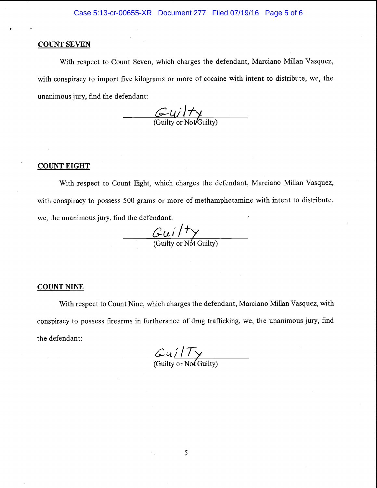#### COUNT SEVEN

With respect to Count Seven, which charges the defendant, Marciano Millan Vasquez, with conspiracy to import five kilograms or more of cocaine with intent to distribute, we, the unanimous jury, find the defendant:

 $\frac{G(y)}{f(y)}$  (Guilty or Not/Guilty)

#### COUNT EIGHT

With respect to Count Eight, which charges the defendant, Marciano Millan Vasquez, with conspiracy to possess 500 grams or more of methamphetamine with intent to distribute, we, the unanimous jury, find the defendant:

 $\frac{C_{\mathcal{U}} i / \mathcal{V}}{\text{(Gulity or Not Gulity)}}$ 

#### COUNT NINE

With respect to Count Nine, which charges the defendant, Marciano Millan Vasquez, with conspiracy to possess firearms in furtherance of drug trafficking, we, the unanimous jury, find the defendant:

 $\frac{C u / T}{\text{(Gulity or Nof Gulity)}}$